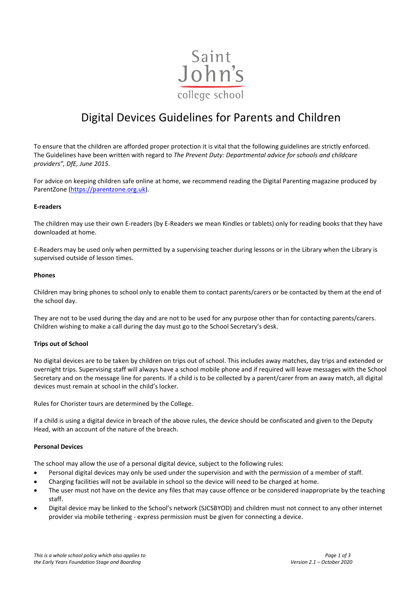

# Digital Devices Guidelines for Parents and Children

To ensure that the children are afforded proper protection it is vital that the following guidelines are strictly enforced. The Guidelines have been written with regard to *The Prevent Duty: Departmental advice for schools and childcare providers", DfE, June 2015*.

For advice on keeping children safe online at home, we recommend reading the Digital Parenting magazine produced by ParentZone [\(https://parentzone.org.uk\)](https://parentzone.org.uk/).

### **E-readers**

The children may use their own E-readers (by E-Readers we mean Kindles or tablets) only for reading books that they have downloaded at home.

E-Readers may be used only when permitted by a supervising teacher during lessons or in the Library when the Library is supervised outside of lesson times.

### **Phones**

Children may bring phones to school only to enable them to contact parents/carers or be contacted by them at the end of the school day.

They are not to be used during the day and are not to be used for any purpose other than for contacting parents/carers. Children wishing to make a call during the day must go to the School Secretary's desk.

## **Trips out of School**

No digital devices are to be taken by children on trips out of school. This includes away matches, day trips and extended or overnight trips. Supervising staff will always have a school mobile phone and if required will leave messages with the School Secretary and on the message line for parents. If a child is to be collected by a parent/carer from an away match, all digital devices must remain at school in the child's locker.

Rules for Chorister tours are determined by the College.

If a child is using a digital device in breach of the above rules, the device should be confiscated and given to the Deputy Head, with an account of the nature of the breach.

#### **Personal Devices**

The school may allow the use of a personal digital device, subject to the following rules:

- Personal digital devices may only be used under the supervision and with the permission of a member of staff.
- Charging facilities will not be available in school so the device will need to be charged at home.
- The user must not have on the device any files that may cause offence or be considered inappropriate by the teaching staff.
- Digital device may be linked to the School's network (SJCSBYOD) and children must not connect to any other internet provider via mobile tethering - express permission must be given for connecting a device.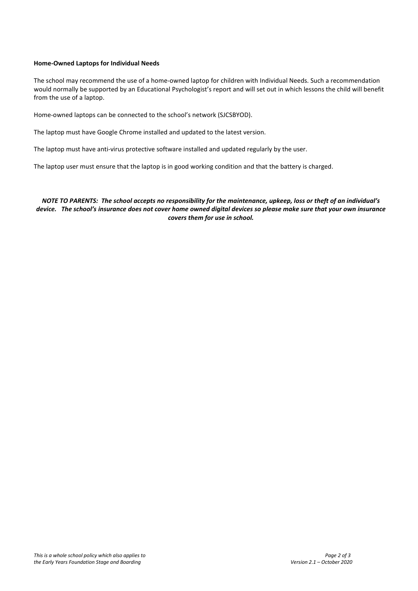# **Home-Owned Laptops for Individual Needs**

The school may recommend the use of a home-owned laptop for children with Individual Needs. Such a recommendation would normally be supported by an Educational Psychologist's report and will set out in which lessons the child will benefit from the use of a laptop.

Home-owned laptops can be connected to the school's network (SJCSBYOD).

The laptop must have Google Chrome installed and updated to the latest version.

The laptop must have anti-virus protective software installed and updated regularly by the user.

The laptop user must ensure that the laptop is in good working condition and that the battery is charged.

*NOTE TO PARENTS: The school accepts no responsibility for the maintenance, upkeep, loss or theft of an individual's device. The school's insurance does not cover home owned digital devices so please make sure that your own insurance covers them for use in school.*